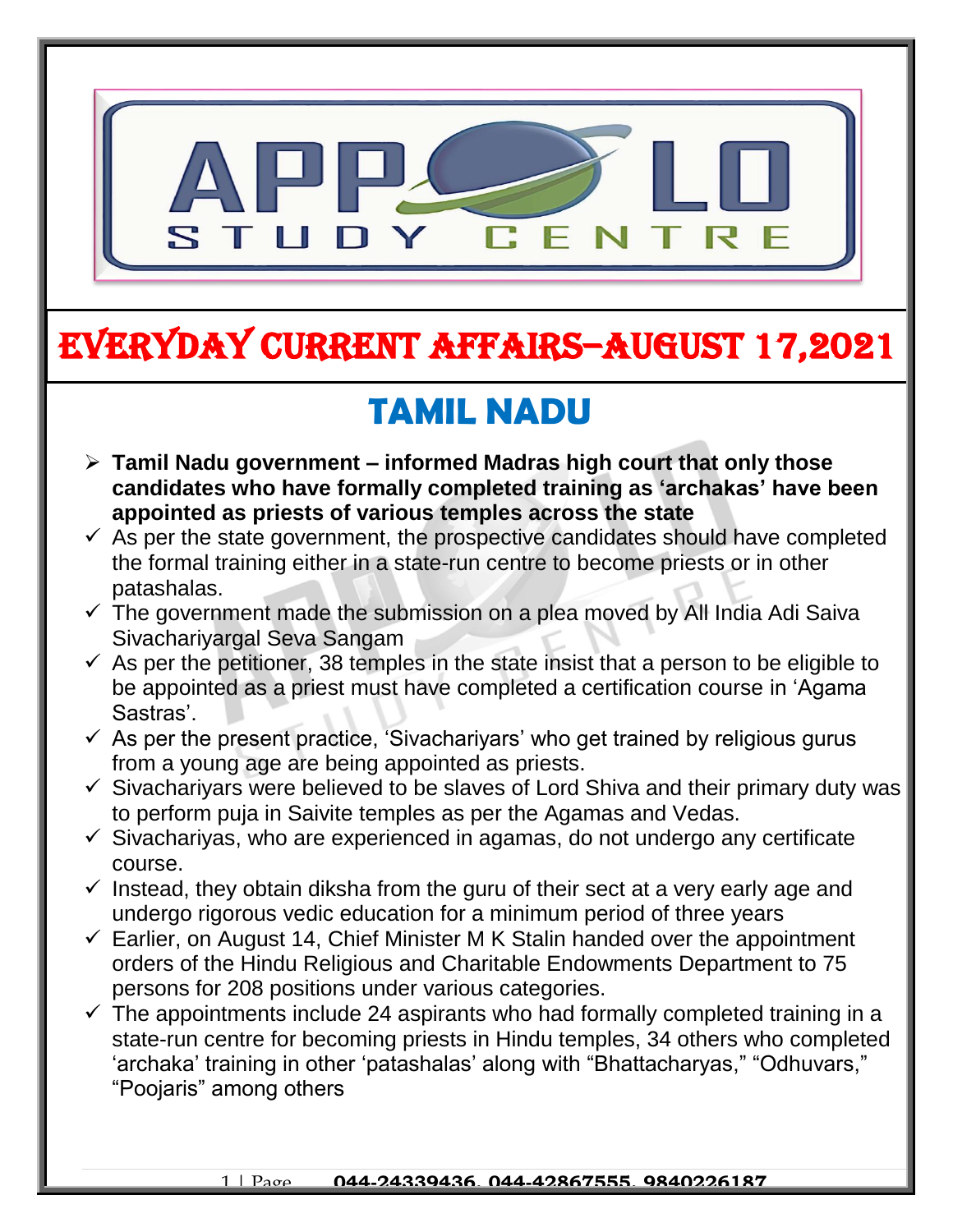

## EVERYDAY CURRENT AFFAIRS–AUGUST 17,2021

-

## **TAMIL NADU**

- **Tamil Nadu government – informed Madras high court that only those candidates who have formally completed training as 'archakas' have been appointed as priests of various temples across the state**
- $\checkmark$  As per the state government, the prospective candidates should have completed the formal training either in a state-run centre to become priests or in other patashalas.
- $\checkmark$  The government made the submission on a plea moved by All India Adi Saiva Sivachariyargal Seva Sangam
- $\checkmark$  As per the petitioner, 38 temples in the state insist that a person to be eligible to be appointed as a priest must have completed a certification course in 'Agama Sastras'.
- $\checkmark$  As per the present practice, 'Sivachariyars' who get trained by religious gurus from a young age are being appointed as priests.
- $\checkmark$  Sivachariyars were believed to be slaves of Lord Shiva and their primary duty was to perform puja in Saivite temples as per the Agamas and Vedas.
- $\checkmark$  Sivachariyas, who are experienced in agamas, do not undergo any certificate course.
- $\checkmark$  Instead, they obtain diksha from the guru of their sect at a very early age and undergo rigorous vedic education for a minimum period of three years
- $\checkmark$  Earlier, on August 14, Chief Minister M K Stalin handed over the appointment orders of the Hindu Religious and Charitable Endowments Department to 75 persons for 208 positions under various categories.
- $\checkmark$  The appointments include 24 aspirants who had formally completed training in a state-run centre for becoming priests in Hindu temples, 34 others who completed 'archaka' training in other 'patashalas' along with "Bhattacharyas," "Odhuvars," "Poojaris" among others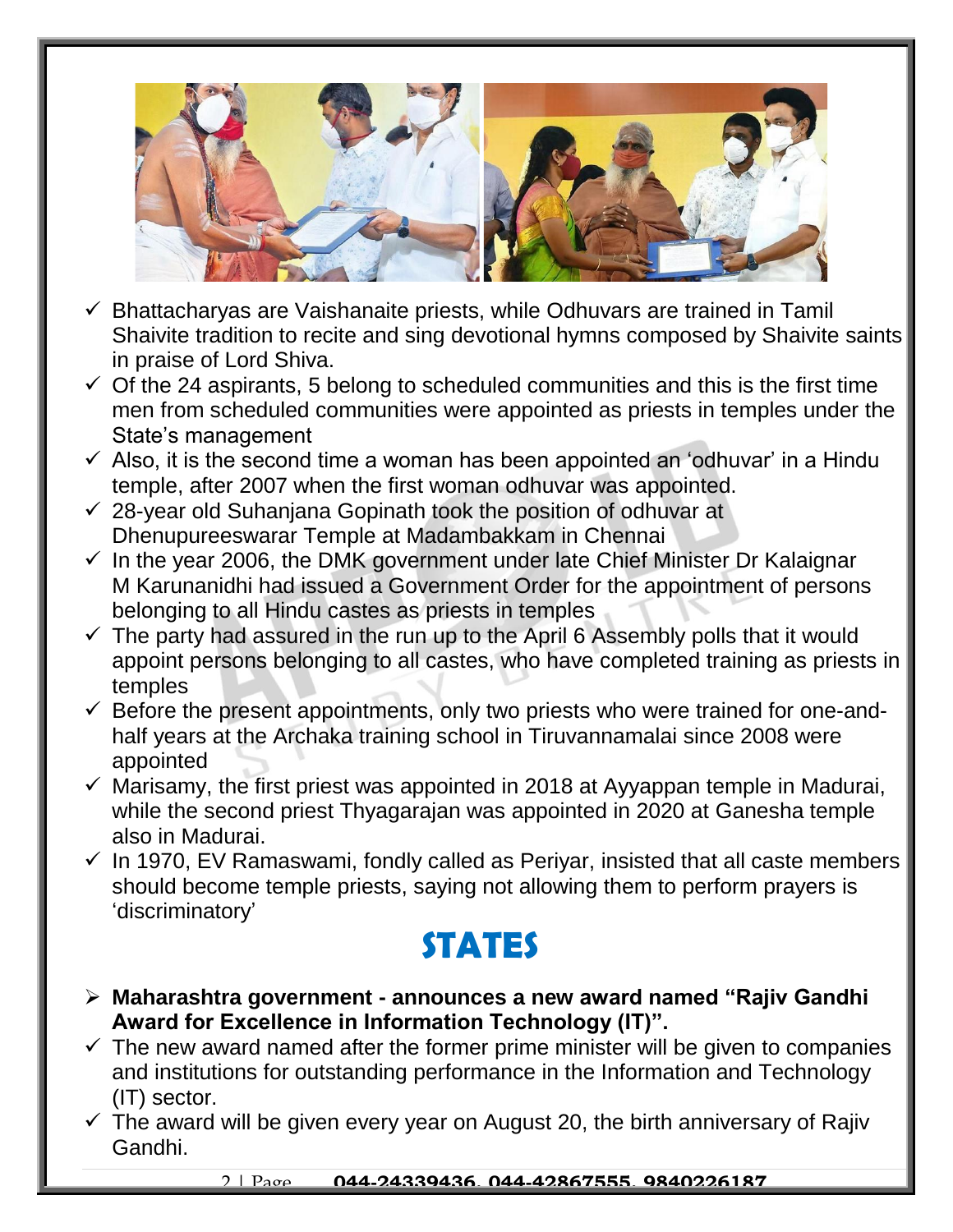

- $\checkmark$  Bhattacharyas are Vaishanaite priests, while Odhuvars are trained in Tamil Shaivite tradition to recite and sing devotional hymns composed by Shaivite saints in praise of Lord Shiva.
- $\checkmark$  Of the 24 aspirants, 5 belong to scheduled communities and this is the first time men from scheduled communities were appointed as priests in temples under the State's management
- $\checkmark$  Also, it is the second time a woman has been appointed an 'odhuvar' in a Hindu temple, after 2007 when the first woman odhuvar was appointed.
- $\checkmark$  28-year old Suhanjana Gopinath took the position of odhuvar at Dhenupureeswarar Temple at Madambakkam in Chennai
- $\checkmark$  In the year 2006, the DMK government under late Chief Minister Dr Kalaignar M Karunanidhi had issued a Government Order for the appointment of persons belonging to all Hindu castes as priests in temples
- $\checkmark$  The party had assured in the run up to the April 6 Assembly polls that it would appoint persons belonging to all castes, who have completed training as priests in temples
- $\checkmark$  Before the present appointments, only two priests who were trained for one-andhalf years at the Archaka training school in Tiruvannamalai since 2008 were appointed
- $\checkmark$  Marisamy, the first priest was appointed in 2018 at Ayyappan temple in Madurai, while the second priest Thyagarajan was appointed in 2020 at Ganesha temple also in Madurai.
- $\checkmark$  In 1970, EV Ramaswami, fondly called as Periyar, insisted that all caste members should become temple priests, saying not allowing them to perform prayers is 'discriminatory'

#### **STATES**

- **Maharashtra government - announces a new award named "Rajiv Gandhi Award for Excellence in Information Technology (IT)".**
- $\checkmark$  The new award named after the former prime minister will be given to companies and institutions for outstanding performance in the Information and Technology (IT) sector.
- $\checkmark$  The award will be given every year on August 20, the birth anniversary of Rajiv Gandhi.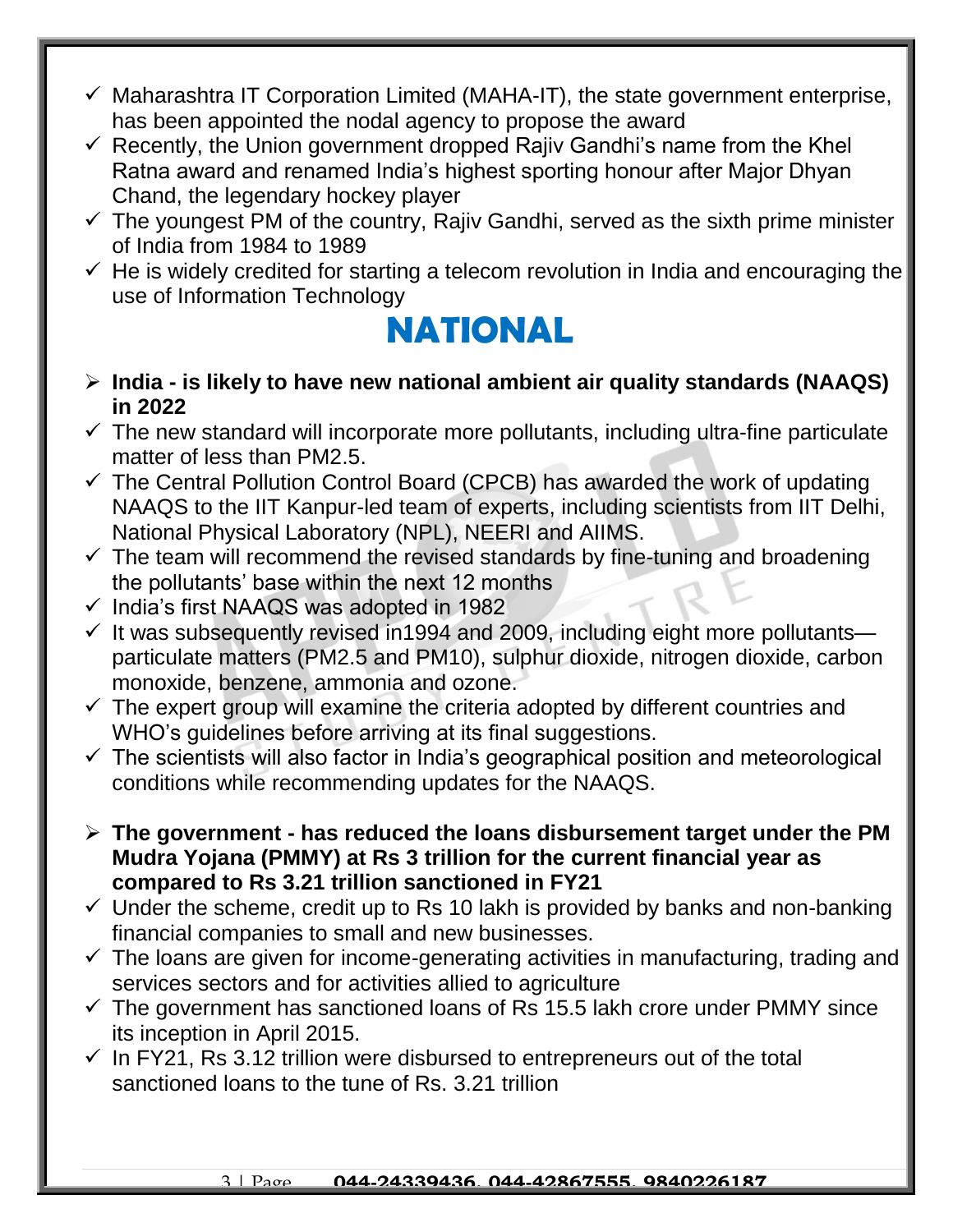- $\checkmark$  Maharashtra IT Corporation Limited (MAHA-IT), the state government enterprise, has been appointed the nodal agency to propose the award
- $\checkmark$  Recently, the Union government dropped Rajiv Gandhi's name from the Khel Ratna award and renamed India's highest sporting honour after Major Dhyan Chand, the legendary hockey player
- $\checkmark$  The youngest PM of the country, Rajiv Gandhi, served as the sixth prime minister of India from 1984 to 1989
- $\checkmark$  He is widely credited for starting a telecom revolution in India and encouraging the use of Information Technology

#### **NATIONAL**

- **India - is likely to have new national ambient air quality standards (NAAQS) in 2022**
- $\checkmark$  The new standard will incorporate more pollutants, including ultra-fine particulate matter of less than PM2.5.
- $\checkmark$  The Central Pollution Control Board (CPCB) has awarded the work of updating NAAQS to the IIT Kanpur-led team of experts, including scientists from IIT Delhi, National Physical Laboratory (NPL), NEERI and AIIMS.
- $\checkmark$  The team will recommend the revised standards by fine-tuning and broadening the pollutants' base within the next 12 months
- $\checkmark$  India's first NAAQS was adopted in 1982
- $\checkmark$  It was subsequently revised in 1994 and 2009, including eight more pollutants particulate matters (PM2.5 and PM10), sulphur dioxide, nitrogen dioxide, carbon monoxide, benzene, ammonia and ozone.
- $\checkmark$  The expert group will examine the criteria adopted by different countries and WHO's quidelines before arriving at its final suggestions.
- $\checkmark$  The scientists will also factor in India's geographical position and meteorological conditions while recommending updates for the NAAQS.
- **The government - has reduced the loans disbursement target under the PM Mudra Yojana (PMMY) at Rs 3 trillion for the current financial year as compared to Rs 3.21 trillion sanctioned in FY21**
- $\checkmark$  Under the scheme, credit up to Rs 10 lakh is provided by banks and non-banking financial companies to small and new businesses.
- $\checkmark$  The loans are given for income-generating activities in manufacturing, trading and services sectors and for activities allied to agriculture
- $\checkmark$  The government has sanctioned loans of Rs 15.5 lakh crore under PMMY since its inception in April 2015.
- $\checkmark$  In FY21, Rs 3.12 trillion were disbursed to entrepreneurs out of the total sanctioned loans to the tune of Rs. 3.21 trillion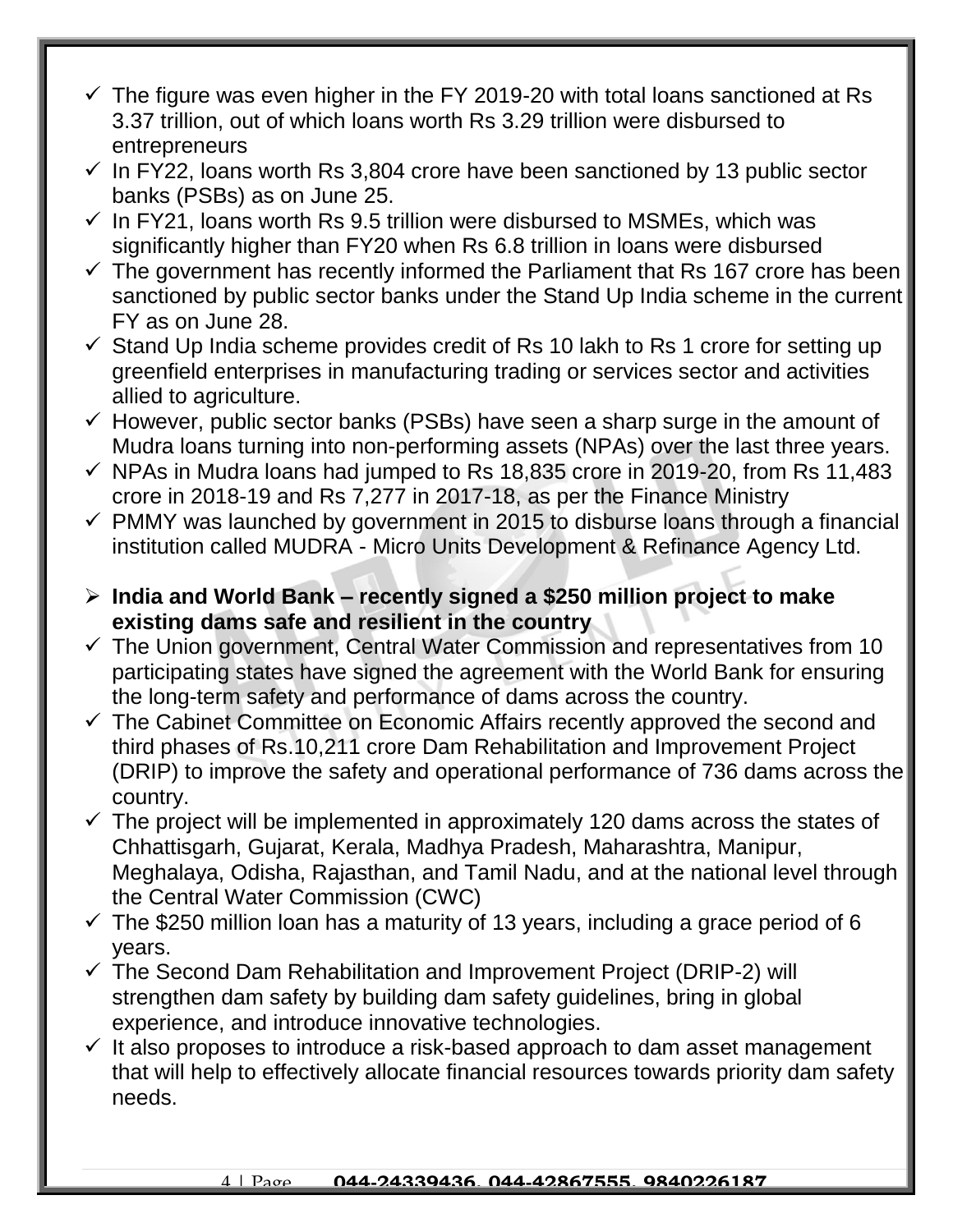- $\checkmark$  The figure was even higher in the FY 2019-20 with total loans sanctioned at Rs 3.37 trillion, out of which loans worth Rs 3.29 trillion were disbursed to entrepreneurs
- $\checkmark$  In FY22, loans worth Rs 3,804 crore have been sanctioned by 13 public sector banks (PSBs) as on June 25.
- $\checkmark$  In FY21, loans worth Rs 9.5 trillion were disbursed to MSMEs, which was significantly higher than FY20 when Rs 6.8 trillion in loans were disbursed
- $\checkmark$  The government has recently informed the Parliament that Rs 167 crore has been sanctioned by public sector banks under the Stand Up India scheme in the current FY as on June 28.
- $\checkmark$  Stand Up India scheme provides credit of Rs 10 lakh to Rs 1 crore for setting up greenfield enterprises in manufacturing trading or services sector and activities allied to agriculture.
- $\checkmark$  However, public sector banks (PSBs) have seen a sharp surge in the amount of Mudra loans turning into non-performing assets (NPAs) over the last three years.
- $\checkmark$  NPAs in Mudra loans had jumped to Rs 18,835 crore in 2019-20, from Rs 11,483 crore in 2018-19 and Rs 7,277 in 2017-18, as per the Finance Ministry
- $\checkmark$  PMMY was launched by government in 2015 to disburse loans through a financial institution called MUDRA - Micro Units Development & Refinance Agency Ltd.
- **India and World Bank – recently signed a \$250 million project to make existing dams safe and resilient in the country**
- $\checkmark$  The Union government, Central Water Commission and representatives from 10 participating states have signed the agreement with the World Bank for ensuring the long-term safety and performance of dams across the country.
- $\checkmark$  The Cabinet Committee on Economic Affairs recently approved the second and third phases of Rs.10,211 crore Dam Rehabilitation and Improvement Project (DRIP) to improve the safety and operational performance of 736 dams across the country.
- $\checkmark$  The project will be implemented in approximately 120 dams across the states of Chhattisgarh, Gujarat, Kerala, Madhya Pradesh, Maharashtra, Manipur, Meghalaya, Odisha, Rajasthan, and Tamil Nadu, and at the national level through the Central Water Commission (CWC)
- $\checkmark$  The \$250 million loan has a maturity of 13 years, including a grace period of 6 years.
- $\checkmark$  The Second Dam Rehabilitation and Improvement Project (DRIP-2) will strengthen dam safety by building dam safety guidelines, bring in global experience, and introduce innovative technologies.
- $\checkmark$  It also proposes to introduce a risk-based approach to dam asset management that will help to effectively allocate financial resources towards priority dam safety needs.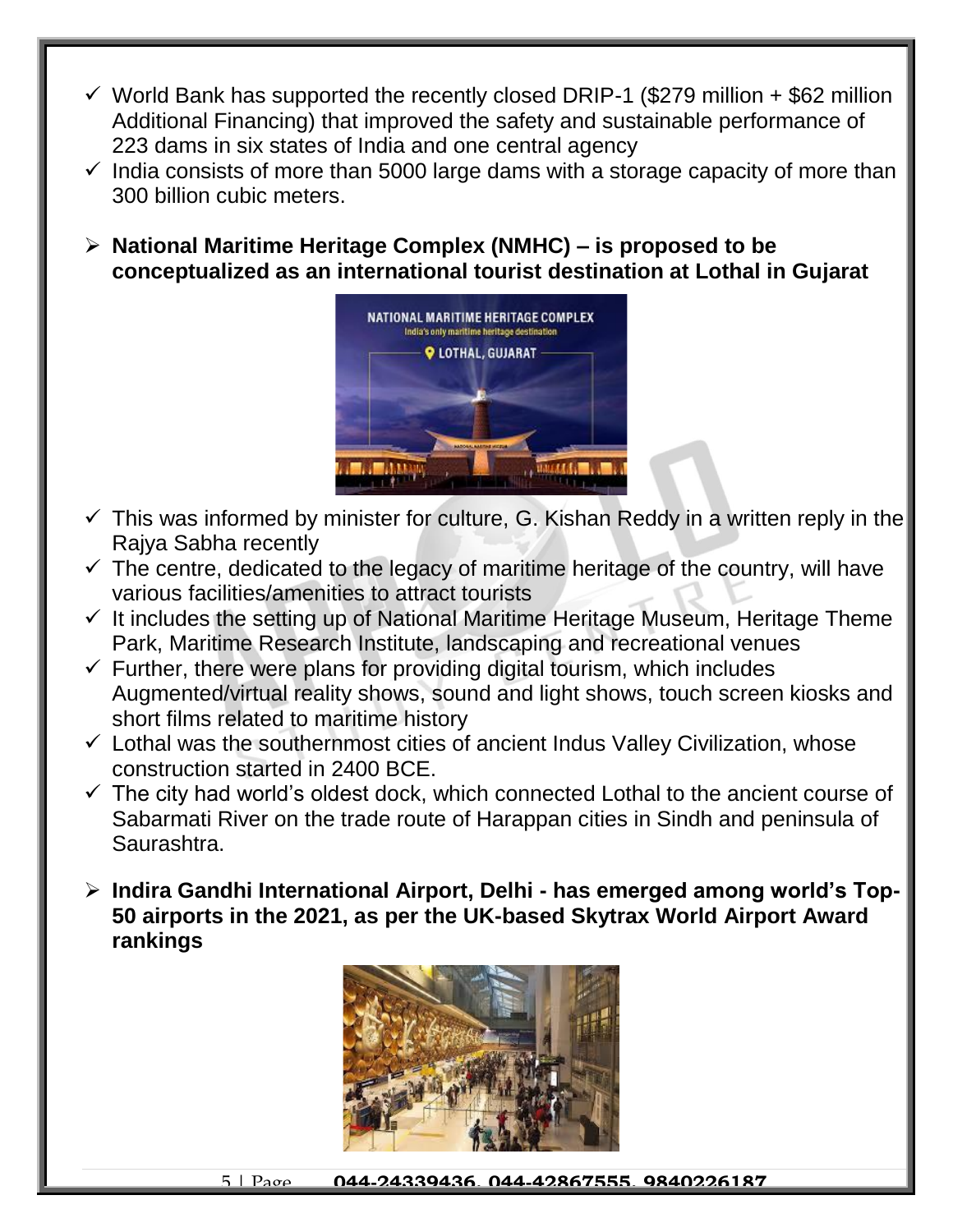- $\checkmark$  World Bank has supported the recently closed DRIP-1 (\$279 million + \$62 million Additional Financing) that improved the safety and sustainable performance of 223 dams in six states of India and one central agency
- $\checkmark$  India consists of more than 5000 large dams with a storage capacity of more than 300 billion cubic meters.
- **National Maritime Heritage Complex (NMHC) – is proposed to be conceptualized as an international tourist destination at Lothal in Gujarat**



- $\checkmark$  This was informed by minister for culture, G. Kishan Reddy in a written reply in the Rajya Sabha recently
- $\checkmark$  The centre, dedicated to the legacy of maritime heritage of the country, will have various facilities/amenities to attract tourists
- $\checkmark$  It includes the setting up of National Maritime Heritage Museum, Heritage Theme Park, Maritime Research Institute, landscaping and recreational venues
- $\checkmark$  Further, there were plans for providing digital tourism, which includes Augmented/virtual reality shows, sound and light shows, touch screen kiosks and short films related to maritime history
- $\checkmark$  Lothal was the southernmost cities of ancient Indus Valley Civilization, whose construction started in 2400 BCE.
- $\checkmark$  The city had world's oldest dock, which connected Lothal to the ancient course of Sabarmati River on the trade route of Harappan cities in Sindh and peninsula of Saurashtra.
- **Indira Gandhi International Airport, Delhi - has emerged among world's Top-50 airports in the 2021, as per the UK-based Skytrax World Airport Award rankings**

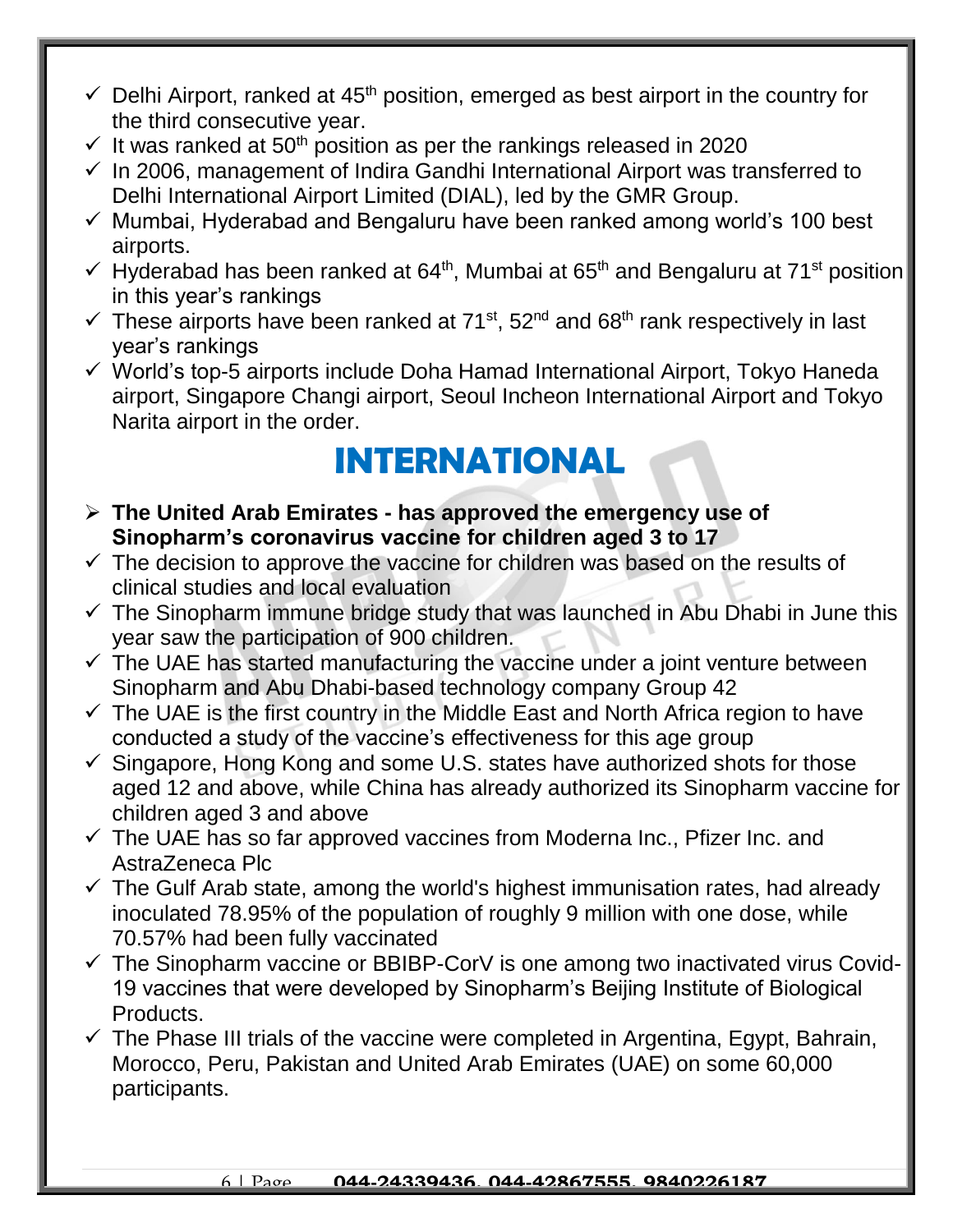- $\checkmark$  Delhi Airport, ranked at 45<sup>th</sup> position, emerged as best airport in the country for the third consecutive year.
- $\checkmark$  It was ranked at 50<sup>th</sup> position as per the rankings released in 2020
- $\checkmark$  In 2006, management of Indira Gandhi International Airport was transferred to Delhi International Airport Limited (DIAL), led by the GMR Group.
- $\checkmark$  Mumbai, Hyderabad and Bengaluru have been ranked among world's 100 best airports.
- $\checkmark$  Hyderabad has been ranked at 64<sup>th</sup>, Mumbai at 65<sup>th</sup> and Bengaluru at 71<sup>st</sup> position in this year's rankings
- $\checkmark$  These airports have been ranked at 71<sup>st</sup>, 52<sup>nd</sup> and 68<sup>th</sup> rank respectively in last year's rankings
- $\checkmark$  World's top-5 airports include Doha Hamad International Airport, Tokyo Haneda airport, Singapore Changi airport, Seoul Incheon International Airport and Tokyo Narita airport in the order.

## **INTERNATIONAL**

- **The United Arab Emirates - has approved the emergency use of Sinopharm's coronavirus vaccine for children aged 3 to 17**
- $\checkmark$  The decision to approve the vaccine for children was based on the results of clinical studies and local evaluation
- $\checkmark$  The Sinopharm immune bridge study that was launched in Abu Dhabi in June this year saw the participation of 900 children.
- $\checkmark$  The UAE has started manufacturing the vaccine under a joint venture between Sinopharm and Abu Dhabi-based technology company Group 42
- $\checkmark$  The UAE is the first country in the Middle East and North Africa region to have conducted a study of the vaccine's effectiveness for this age group
- $\checkmark$  Singapore, Hong Kong and some U.S. states have authorized shots for those aged 12 and above, while China has already authorized its Sinopharm vaccine for children aged 3 and above
- $\checkmark$  The UAE has so far approved vaccines from Moderna Inc., Pfizer Inc. and AstraZeneca Plc
- $\checkmark$  The Gulf Arab state, among the world's highest immunisation rates, had already inoculated 78.95% of the population of roughly 9 million with one dose, while 70.57% had been fully vaccinated
- $\checkmark$  The Sinopharm vaccine or BBIBP-CorV is one among two inactivated virus Covid-19 vaccines that were developed by Sinopharm's Beijing Institute of Biological Products.
- $\checkmark$  The Phase III trials of the vaccine were completed in Argentina, Egypt, Bahrain, Morocco, Peru, Pakistan and United Arab Emirates (UAE) on some 60,000 participants.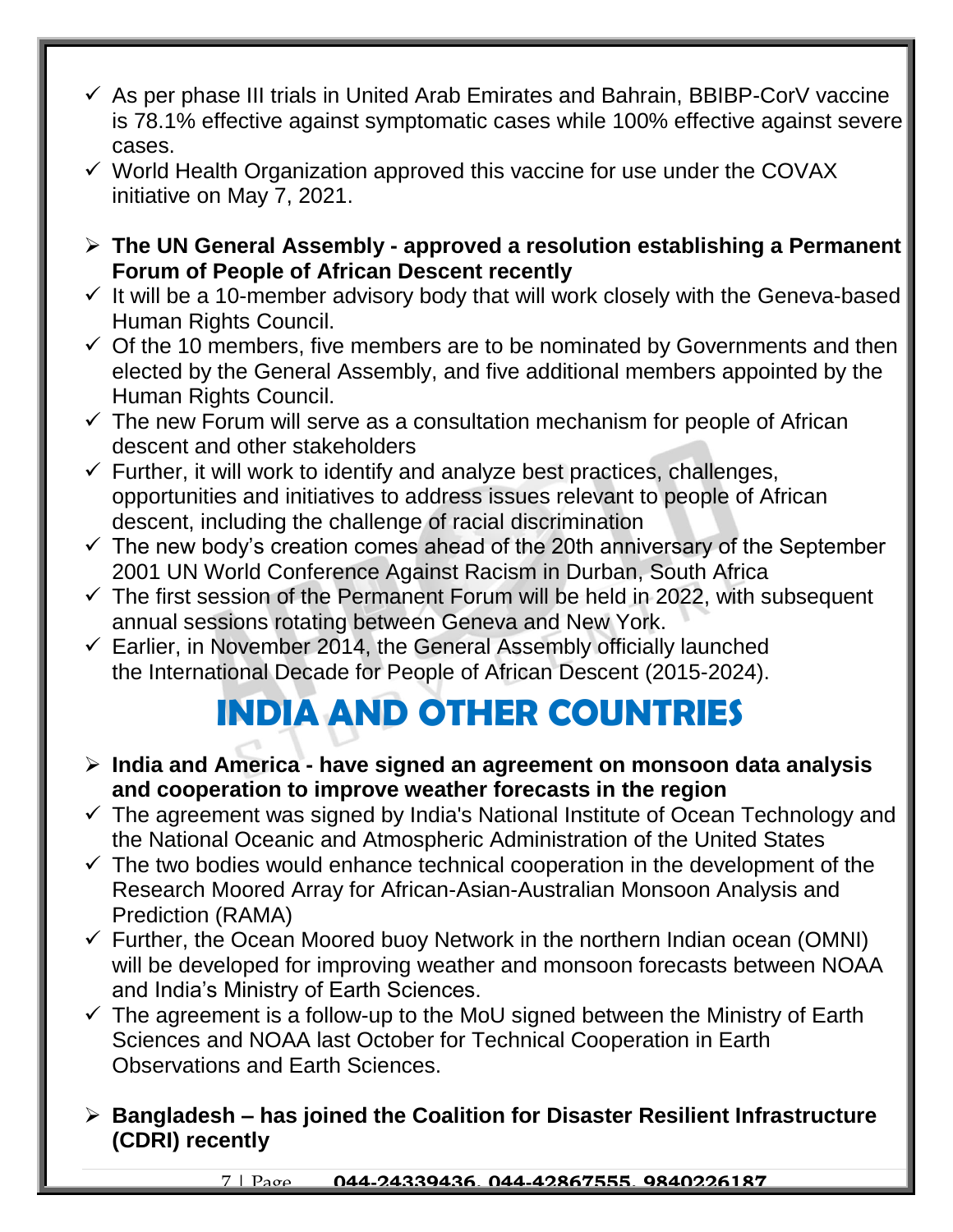- $\checkmark$  As per phase III trials in United Arab Emirates and Bahrain, BBIBP-CorV vaccine is 78.1% effective against symptomatic cases while 100% effective against severe cases.
- $\checkmark$  World Health Organization approved this vaccine for use under the COVAX initiative on May 7, 2021.
- **The UN General Assembly - approved a resolution establishing a Permanent Forum of People of African Descent recently**
- $\checkmark$  It will be a 10-member advisory body that will work closely with the Geneva-based Human Rights Council.
- $\checkmark$  Of the 10 members, five members are to be nominated by Governments and then elected by the General Assembly, and five additional members appointed by the Human Rights Council.
- $\checkmark$  The new Forum will serve as a consultation mechanism for people of African descent and other stakeholders
- $\checkmark$  Further, it will work to identify and analyze best practices, challenges, opportunities and initiatives to address issues relevant to people of African descent, including the challenge of racial discrimination
- $\checkmark$  The new body's creation comes ahead of the 20th anniversary of the September 2001 UN World Conference Against Racism in Durban, South Africa
- $\checkmark$  The first session of the Permanent Forum will be held in 2022, with subsequent annual sessions rotating between Geneva and New York.
- $\checkmark$  Earlier, in November 2014, the General Assembly officially launched the International Decade for People of African Descent (2015-2024).

## **INDIA AND OTHER COUNTRIES**

- **India and America - have signed an agreement on monsoon data analysis and cooperation to improve weather forecasts in the region**
- $\checkmark$  The agreement was signed by India's National Institute of Ocean Technology and the National Oceanic and Atmospheric Administration of the United States
- $\checkmark$  The two bodies would enhance technical cooperation in the development of the Research Moored Array for African-Asian-Australian Monsoon Analysis and Prediction (RAMA)
- $\checkmark$  Further, the Ocean Moored buoy Network in the northern Indian ocean (OMNI) will be developed for improving weather and monsoon forecasts between NOAA and India's Ministry of Earth Sciences.
- $\checkmark$  The agreement is a follow-up to the MoU signed between the Ministry of Earth Sciences and NOAA last October for Technical Cooperation in Earth Observations and Earth Sciences.
- **Bangladesh – has joined the Coalition for Disaster Resilient Infrastructure (CDRI) recently**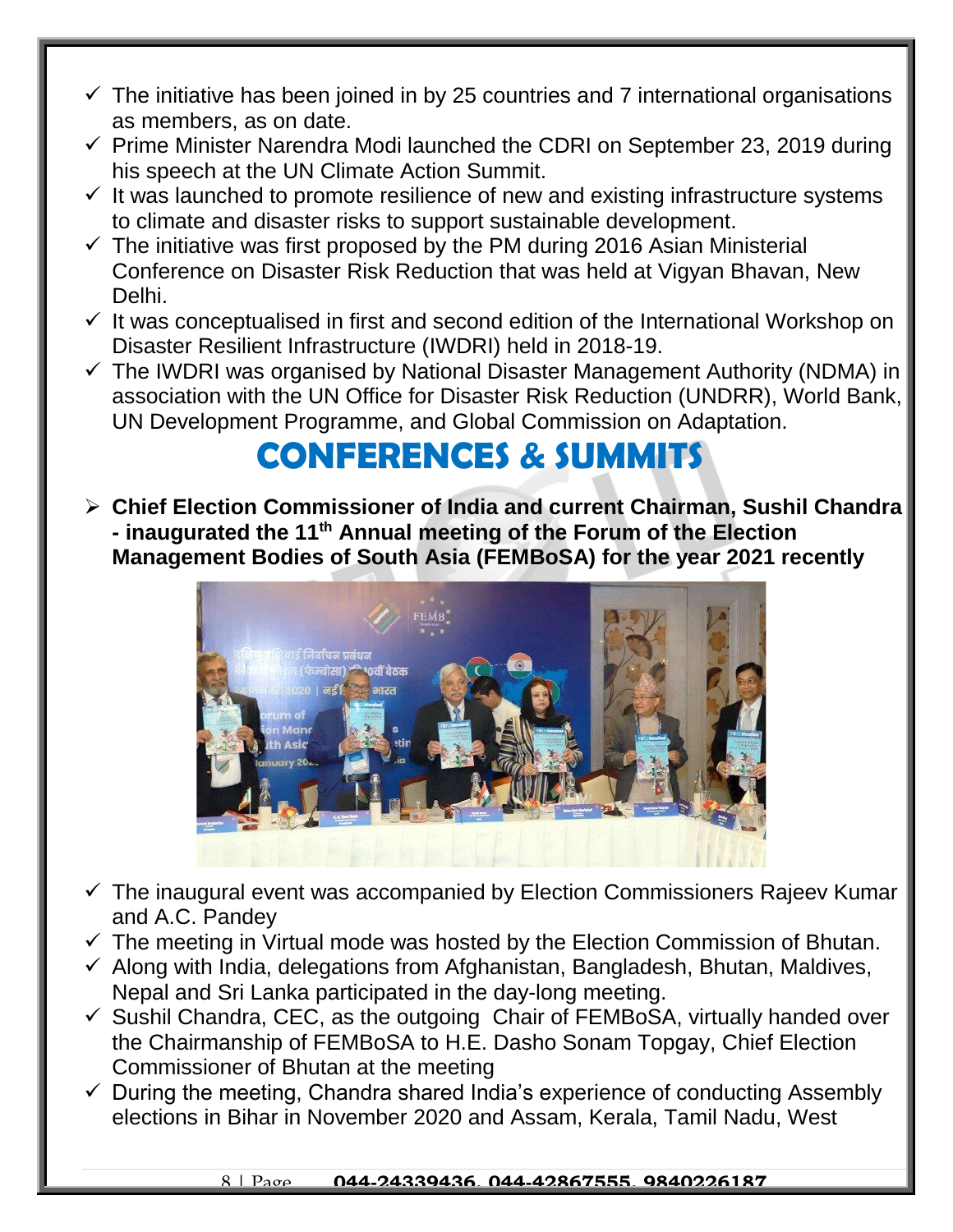- $\checkmark$  The initiative has been joined in by 25 countries and 7 international organisations as members, as on date.
- $\checkmark$  Prime Minister Narendra Modi launched the CDRI on September 23, 2019 during his speech at the UN Climate Action Summit.
- $\checkmark$  It was launched to promote resilience of new and existing infrastructure systems to climate and disaster risks to support sustainable development.
- $\checkmark$  The initiative was first proposed by the PM during 2016 Asian Ministerial Conference on Disaster Risk Reduction that was held at Vigyan Bhavan, New Delhi.
- $\checkmark$  It was conceptualised in first and second edition of the International Workshop on Disaster Resilient Infrastructure (IWDRI) held in 2018-19.
- $\checkmark$  The IWDRI was organised by National Disaster Management Authority (NDMA) in association with the UN Office for Disaster Risk Reduction (UNDRR), World Bank, UN Development Programme, and Global Commission on Adaptation.

#### **CONFERENCES & SUMMITS**

 **Chief Election Commissioner of India and current Chairman, Sushil Chandra - inaugurated the 11th Annual meeting of the Forum of the Election Management Bodies of South Asia (FEMBoSA) for the year 2021 recently**



- $\checkmark$  The inaugural event was accompanied by Election Commissioners Rajeev Kumar and A.C. Pandey
- $\checkmark$  The meeting in Virtual mode was hosted by the Election Commission of Bhutan.
- $\checkmark$  Along with India, delegations from Afghanistan, Bangladesh, Bhutan, Maldives, Nepal and Sri Lanka participated in the day-long meeting.
- $\checkmark$  Sushil Chandra, CEC, as the outgoing Chair of FEMBoSA, virtually handed over the Chairmanship of FEMBoSA to H.E. Dasho Sonam Topgay, Chief Election Commissioner of Bhutan at the meeting
- $\checkmark$  During the meeting, Chandra shared India's experience of conducting Assembly elections in Bihar in November 2020 and Assam, Kerala, Tamil Nadu, West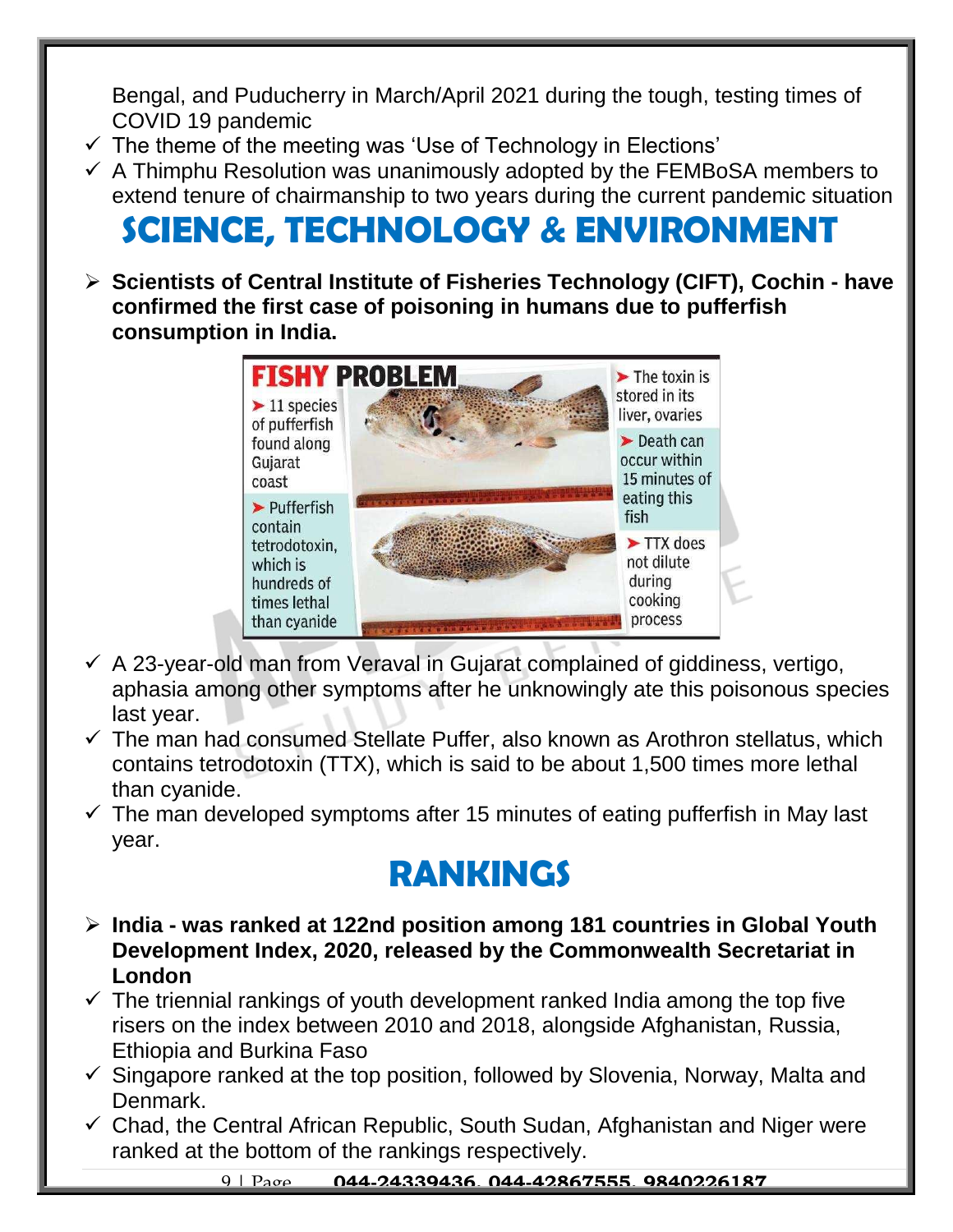Bengal, and Puducherry in March/April 2021 during the tough, testing times of COVID 19 pandemic

- $\checkmark$  The theme of the meeting was 'Use of Technology in Elections'
- $\checkmark$  A Thimphu Resolution was unanimously adopted by the FEMBoSA members to extend tenure of chairmanship to two years during the current pandemic situation

# **SCIENCE, TECHNOLOGY & ENVIRONMENT**

 **Scientists of Central Institute of Fisheries Technology (CIFT), Cochin - have confirmed the first case of poisoning in humans due to pufferfish consumption in India.** 



- $\checkmark$  A 23-year-old man from Veraval in Gujarat complained of giddiness, vertigo, aphasia among other symptoms after he unknowingly ate this poisonous species last year.
- $\checkmark$  The man had consumed Stellate Puffer, also known as Arothron stellatus, which contains tetrodotoxin (TTX), which is said to be about 1,500 times more lethal than cyanide.
- $\checkmark$  The man developed symptoms after 15 minutes of eating pufferfish in May last year.

## **RANKINGS**

- **India - was ranked at 122nd position among 181 countries in Global Youth Development Index, 2020, released by the Commonwealth Secretariat in London**
- $\checkmark$  The triennial rankings of youth development ranked India among the top five risers on the index between 2010 and 2018, alongside Afghanistan, Russia, Ethiopia and Burkina Faso
- $\checkmark$  Singapore ranked at the top position, followed by Slovenia, Norway, Malta and Denmark.
- $\checkmark$  Chad, the Central African Republic, South Sudan, Afghanistan and Niger were ranked at the bottom of the rankings respectively.